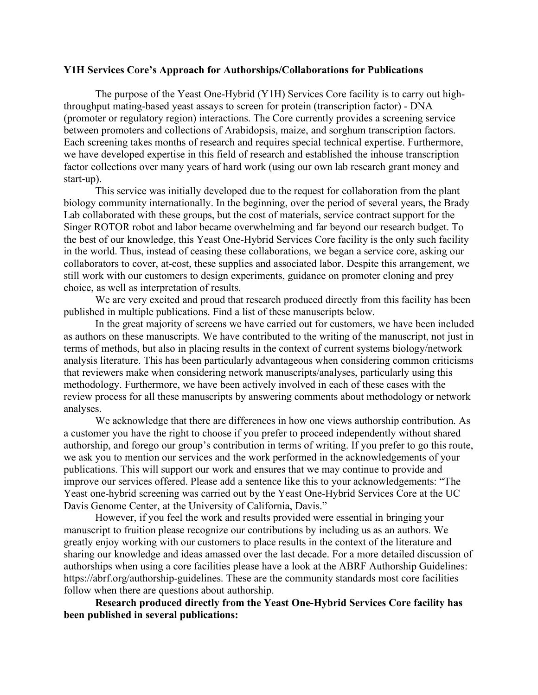## **Y1H Services Core's Approach for Authorships/Collaborations for Publications**

The purpose of the Yeast One-Hybrid (Y1H) Services Core facility is to carry out highthroughput mating-based yeast assays to screen for protein (transcription factor) - DNA (promoter or regulatory region) interactions. The Core currently provides a screening service between promoters and collections of Arabidopsis, maize, and sorghum transcription factors. Each screening takes months of research and requires special technical expertise. Furthermore, we have developed expertise in this field of research and established the inhouse transcription factor collections over many years of hard work (using our own lab research grant money and start-up).

This service was initially developed due to the request for collaboration from the plant biology community internationally. In the beginning, over the period of several years, the Brady Lab collaborated with these groups, but the cost of materials, service contract support for the Singer ROTOR robot and labor became overwhelming and far beyond our research budget. To the best of our knowledge, this Yeast One-Hybrid Services Core facility is the only such facility in the world. Thus, instead of ceasing these collaborations, we began a service core, asking our collaborators to cover, at-cost, these supplies and associated labor. Despite this arrangement, we still work with our customers to design experiments, guidance on promoter cloning and prey choice, as well as interpretation of results.

We are very excited and proud that research produced directly from this facility has been published in multiple publications. Find a list of these manuscripts below.

In the great majority of screens we have carried out for customers, we have been included as authors on these manuscripts. We have contributed to the writing of the manuscript, not just in terms of methods, but also in placing results in the context of current systems biology/network analysis literature. This has been particularly advantageous when considering common criticisms that reviewers make when considering network manuscripts/analyses, particularly using this methodology. Furthermore, we have been actively involved in each of these cases with the review process for all these manuscripts by answering comments about methodology or network analyses.

We acknowledge that there are differences in how one views authorship contribution. As a customer you have the right to choose if you prefer to proceed independently without shared authorship, and forego our group's contribution in terms of writing. If you prefer to go this route, we ask you to mention our services and the work performed in the acknowledgements of your publications. This will support our work and ensures that we may continue to provide and improve our services offered. Please add a sentence like this to your acknowledgements: "The Yeast one-hybrid screening was carried out by the Yeast One-Hybrid Services Core at the UC Davis Genome Center, at the University of California, Davis."

However, if you feel the work and results provided were essential in bringing your manuscript to fruition please recognize our contributions by including us as an authors. We greatly enjoy working with our customers to place results in the context of the literature and sharing our knowledge and ideas amassed over the last decade. For a more detailed discussion of authorships when using a core facilities please have a look at the ABRF Authorship Guidelines: https://abrf.org/authorship-guidelines. These are the community standards most core facilities follow when there are questions about authorship.

**Research produced directly from the Yeast One-Hybrid Services Core facility has been published in several publications:**